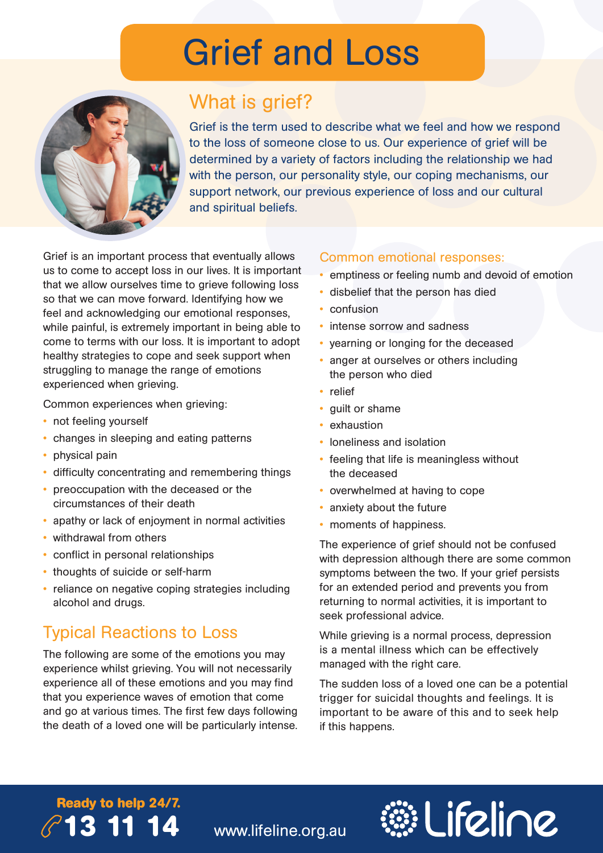# Grief and Loss



# What is grief?

Grief is the term used to describe what we feel and how we respond to the loss of someone close to us. Our experience of grief will be determined by a variety of factors including the relationship we had with the person, our personality style, our coping mechanisms, our support network, our previous experience of loss and our cultural and spiritual beliefs.

Grief is an important process that eventually allows us to come to accept loss in our lives. It is important that we allow ourselves time to grieve following loss so that we can move forward. Identifying how we feel and acknowledging our emotional responses, while painful, is extremely important in being able to come to terms with our loss. It is important to adopt healthy strategies to cope and seek support when struggling to manage the range of emotions experienced when grieving.

Common experiences when grieving:

- not feeling yourself
- changes in sleeping and eating patterns
- physical pain
- difficulty concentrating and remembering things
- preoccupation with the deceased or the circumstances of their death
- apathy or lack of enjoyment in normal activities
- withdrawal from others
- conflict in personal relationships
- thoughts of suicide or self-harm
- reliance on negative coping strategies including alcohol and drugs.

## Typical Reactions to Loss

The following are some of the emotions you may experience whilst grieving. You will not necessarily experience all of these emotions and you may find that you experience waves of emotion that come and go at various times. The first few days following the death of a loved one will be particularly intense.

#### Common emotional responses:

- emptiness or feeling numb and devoid of emotion
- disbelief that the person has died
- confusion
- intense sorrow and sadness
- yearning or longing for the deceased
- anger at ourselves or others including the person who died
- relief
- guilt or shame
- **exhaustion**
- loneliness and isolation
- feeling that life is meaningless without the deceased
- overwhelmed at having to cope
- anxiety about the future
- moments of happiness.

The experience of grief should not be confused with depression although there are some common symptoms between the two. If your grief persists for an extended period and prevents you from returning to normal activities, it is important to seek professional advice.

While grieving is a normal process, depression is a mental illness which can be effectively managed with the right care.

The sudden loss of a loved one can be a potential trigger for suicidal thoughts and feelings. It is important to be aware of this and to seek help if this happens.

# **Ready to help 24/7. 13 11 14**



www.lifeline.org.au